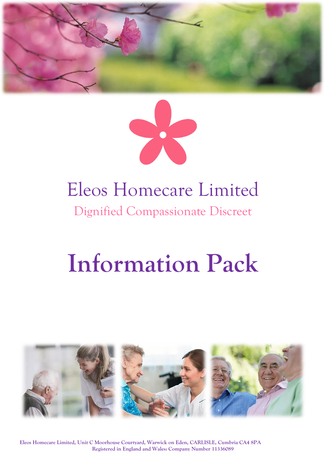



# Eleos Homecare Limited Dignified Compassionate Discreet

# **Information Pack**



**Eleos Homecare Limited, Unit C Moorhouse Courtyard, Warwick on Eden, CARLISLE, Cumbria CA4 8PA Registered in England and Wales: Company Number 11336089**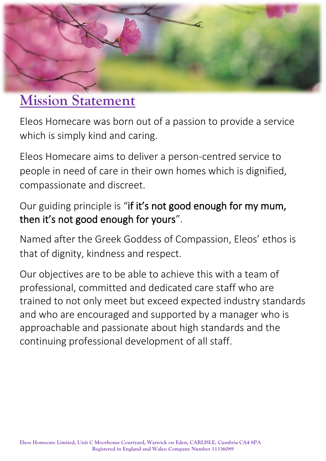

## **Mission Statement**

Eleos Homecare was born out of a passion to provide a service which is simply kind and caring.

Eleos Homecare aims to deliver a person-centred service to people in need of care in their own homes which is dignified, compassionate and discreet.

## Our guiding principle is "if it's not good enough for my mum, then it's not good enough for yours".

Named after the Greek Goddess of Compassion, Eleos' ethos is that of dignity, kindness and respect.

Our objectives are to be able to achieve this with a team of professional, committed and dedicated care staff who are trained to not only meet but exceed expected industry standards and who are encouraged and supported by a manager who is approachable and passionate about high standards and the continuing professional development of all staff.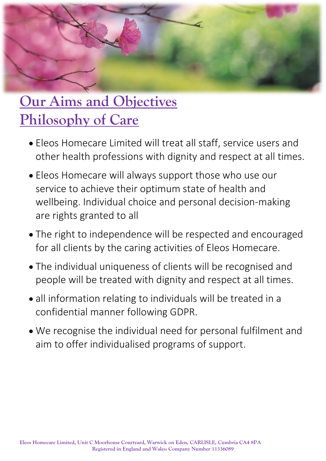

# **Our Aims and Objectives Philosophy of Care**

- Eleos Homecare Limited will treat all staff, service users and other health professions with dignity and respect at all times.
- Eleos Homecare will always support those who use our service to achieve their optimum state of health and wellbeing. Individual choice and personal decision-making are rights granted to all
- The right to independence will be respected and encouraged for all clients by the caring activities of Eleos Homecare.
- The individual uniqueness of clients will be recognised and people will be treated with dignity and respect at all times.
- all information relating to individuals will be treated in a confidential manner following GDPR.
- We recognise the individual need for personal fulfilment and aim to offer individualised programs of support.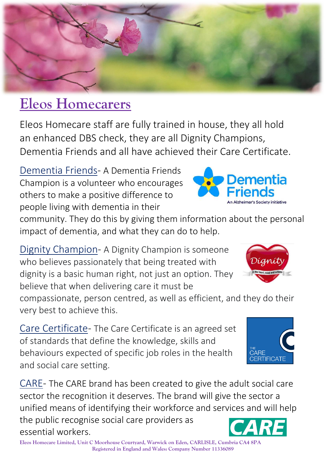

## **Eleos Homecarers**

Eleos Homecare staff are fully trained in house, they all hold an enhanced DBS check, they are all Dignity Champions, Dementia Friends and all have achieved their Care Certificate.

Dementia Friends- A Dementia Friends Champion is a volunteer who encourages others to make a positive difference to people living with dementia in their

community. They do this by giving them information about the personal impact of dementia, and what they can do to help.

Dignity Champion- A Dignity Champion is someone who believes passionately that being treated with dignity is a basic human right, not just an option. They believe that when delivering care it must be

compassionate, person centred, as well as efficient, and they do their very best to achieve this.

Care Certificate- The Care Certificate is an agreed set of standards that define the knowledge, skills and behaviours expected of specific job roles in the health and social care setting.

CARE- The CARE brand has been created to give the adult social care sector the recognition it deserves. The brand will give the sector a unified means of identifying their workforce and services and will help the public recognise social care providers as essential workers.

**Eleos Homecare Limited, Unit C Moorhouse Courtyard, Warwick on Eden, CARLISLE, Cumbria CA4 8PA Registered in England and Wales: Company Number 11336089**



Dementia

An Alzheimer's Society initiative



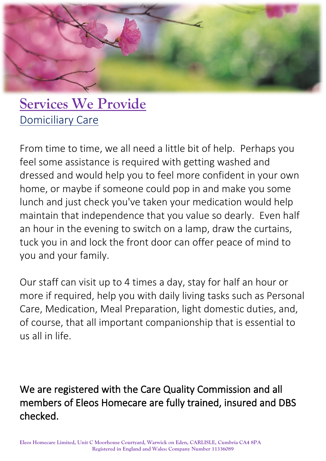

## **Services We Provide** Domiciliary Care

From time to time, we all need a little bit of help. Perhaps you feel some assistance is required with getting washed and dressed and would help you to feel more confident in your own home, or maybe if someone could pop in and make you some lunch and just check you've taken your medication would help maintain that independence that you value so dearly. Even half an hour in the evening to switch on a lamp, draw the curtains, tuck you in and lock the front door can offer peace of mind to you and your family.

Our staff can visit up to 4 times a day, stay for half an hour or more if required, help you with daily living tasks such as Personal Care, Medication, Meal Preparation, light domestic duties, and, of course, that all important companionship that is essential to us all in life.

We are registered with the Care Quality Commission and all members of Eleos Homecare are fully trained, insured and DBS checked.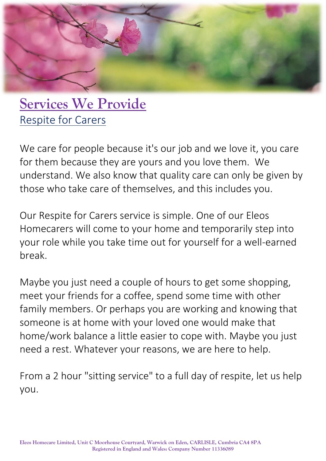

## **Services We Provide** Respite for Carers

We care for people because it's our job and we love it, you care for them because they are yours and you love them. We understand. We also know that quality care can only be given by those who take care of themselves, and this includes you.

Our Respite for Carers service is simple. One of our Eleos Homecarers will come to your home and temporarily step into your role while you take time out for yourself for a well-earned break.

Maybe you just need a couple of hours to get some shopping, meet your friends for a coffee, spend some time with other family members. Or perhaps you are working and knowing that someone is at home with your loved one would make that home/work balance a little easier to cope with. Maybe you just need a rest. Whatever your reasons, we are here to help.

From a 2 hour "sitting service" to a full day of respite, let us help you.